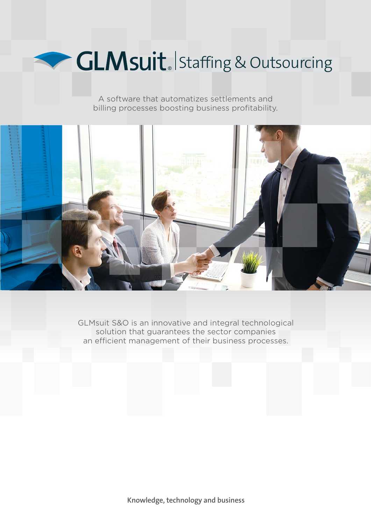

A software that automatizes settlements and billing processes boosting business profitability.



GLMsuit S&O is an innovative and integral technological solution that guarantees the sector companies an efficient management of their business processes.

**Knowledge, technology and business**